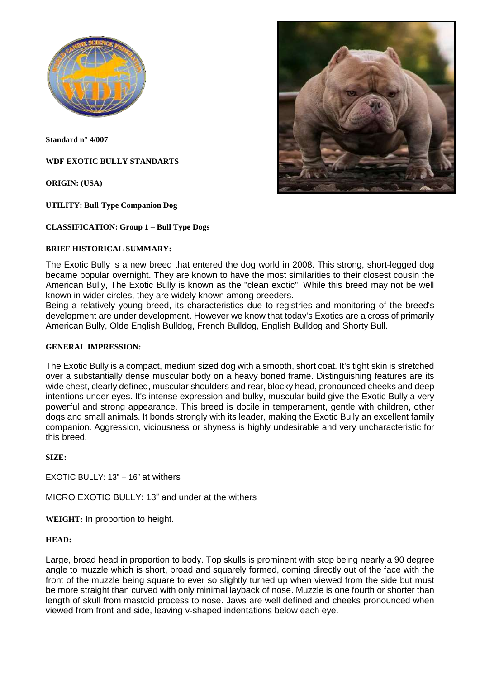

**Standard n° 4/007**

**WDF EXOTIC BULLY STANDARTS**

**ORIGIN: (USA)**

**UTILITY: Bull-Type Companion Dog**

#### **CLASSIFICATION: Group 1 – Bull Type Dogs**

#### **BRIEF HISTORICAL SUMMARY:**

The Exotic Bully is a new breed that entered the dog world in 2008. This strong, short-legged dog became popular overnight. They are known to have the most similarities to their closest cousin the American Bully, The Exotic Bully is known as the "clean exotic". While this breed may not be well known in wider circles, they are widely known among breeders.

Being a relatively young breed, its characteristics due to registries and monitoring of the breed's development are under development. However we know that today's Exotics are a cross of primarily American Bully, Olde English Bulldog, French Bulldog, English Bulldog and Shorty Bull.

#### **GENERAL IMPRESSION:**

The Exotic Bully is a compact, medium sized dog with a smooth, short coat. It's tight skin is stretched over a substantially dense muscular body on a heavy boned frame. Distinguishing features are its wide chest, clearly defined, muscular shoulders and rear, blocky head, pronounced cheeks and deep intentions under eyes. It's intense expression and bulky, muscular build give the Exotic Bully a very powerful and strong appearance. This breed is docile in temperament, gentle with children, other dogs and small animals. It bonds strongly with its leader, making the Exotic Bully an excellent family companion. Aggression, viciousness or shyness is highly undesirable and very uncharacteristic for this breed.

**SIZE:**

EXOTIC BULLY: 13" – 16" at withers

MICRO EXOTIC BULLY: 13" and under at the withers

**WEIGHT:** In proportion to height.

#### **HEAD:**

Large, broad head in proportion to body. Top skulls is prominent with stop being nearly a 90 degree angle to muzzle which is short, broad and squarely formed, coming directly out of the face with the front of the muzzle being square to ever so slightly turned up when viewed from the side but must be more straight than curved with only minimal layback of nose. Muzzle is one fourth or shorter than length of skull from mastoid process to nose. Jaws are well defined and cheeks pronounced when viewed from front and side, leaving v-shaped indentations below each eye.

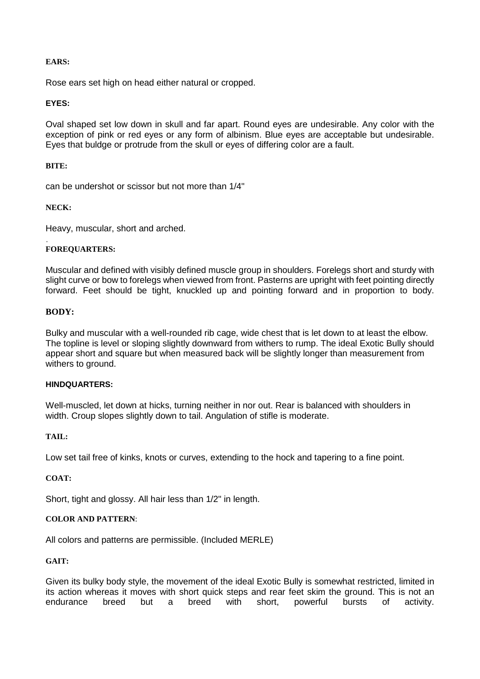## **EARS:**

Rose ears set high on head either natural or cropped.

# **EYES:**

Oval shaped set low down in skull and far apart. Round eyes are undesirable. Any color with the exception of pink or red eyes or any form of albinism. Blue eyes are acceptable but undesirable. Eyes that buldge or protrude from the skull or eyes of differing color are a fault.

## **BITE:**

can be undershot or scissor but not more than 1/4"

# **NECK:**

Heavy, muscular, short and arched.

#### . **FOREQUARTERS:**

Muscular and defined with visibly defined muscle group in shoulders. Forelegs short and sturdy with slight curve or bow to forelegs when viewed from front. Pasterns are upright with feet pointing directly forward. Feet should be tight, knuckled up and pointing forward and in proportion to body.

## **BODY:**

Bulky and muscular with a well-rounded rib cage, wide chest that is let down to at least the elbow. The topline is level or sloping slightly downward from withers to rump. The ideal Exotic Bully should appear short and square but when measured back will be slightly longer than measurement from withers to ground.

## **HINDQUARTERS:**

Well-muscled, let down at hicks, turning neither in nor out. Rear is balanced with shoulders in width. Croup slopes slightly down to tail. Angulation of stifle is moderate.

## **TAIL:**

Low set tail free of kinks, knots or curves, extending to the hock and tapering to a fine point.

## **COAT:**

Short, tight and glossy. All hair less than 1/2" in length.

## **COLOR AND PATTERN**:

All colors and patterns are permissible. (Included MERLE)

# **GAIT:**

Given its bulky body style, the movement of the ideal Exotic Bully is somewhat restricted, limited in its action whereas it moves with short quick steps and rear feet skim the ground. This is not an endurance breed but a breed with short, powerful bursts of activity.